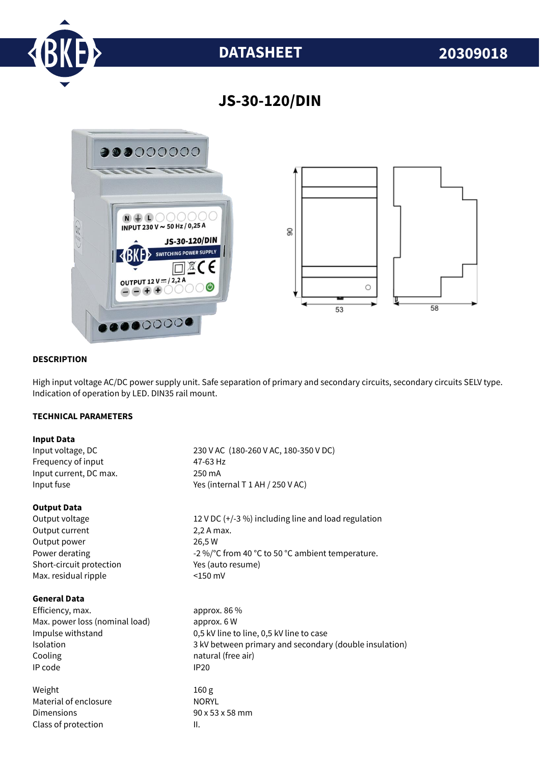

# **DATASHEET 20309018**

## **JS-30-120/DIN**



#### **DESCRIPTION**

High input voltage AC/DC power supply unit. Safe separation of primary and secondary circuits, secondary circuits SELV type. Indication of operation by LED. DIN35 rail mount.

#### **TECHNICAL PARAMETERS**

#### **Input Data**

Input voltage, DC 230 V AC (180-260 V AC, 180-350 V DC) Frequency of input 47-63 Hz Input current, DC max. 250 mA Input fuse  $Y$ es (internal T 1 AH / 250 V AC)

#### **Output Data**

Output current 2,2 A max. Output power 26,5 W Short-circuit protection Yes (auto resume) Max. residual ripple <150 mV

#### **General Data**

Efficiency, max. approx. 86 % Max. power loss (nominal load) approx. 6 W Cooling **natural** (free air) IP code IP20

Weight 160 g Material of enclosure NORYL Dimensions 90 x 53 x 58 mm Class of protection and II.

Output voltage 12 V DC (+/-3 %) including line and load regulation Power derating  $-2\%$  °C from 40 °C to 50 °C ambient temperature.

Impulse withstand 0,5 kV line to line, 0,5 kV line to case Isolation 3 kV between primary and secondary (double insulation)